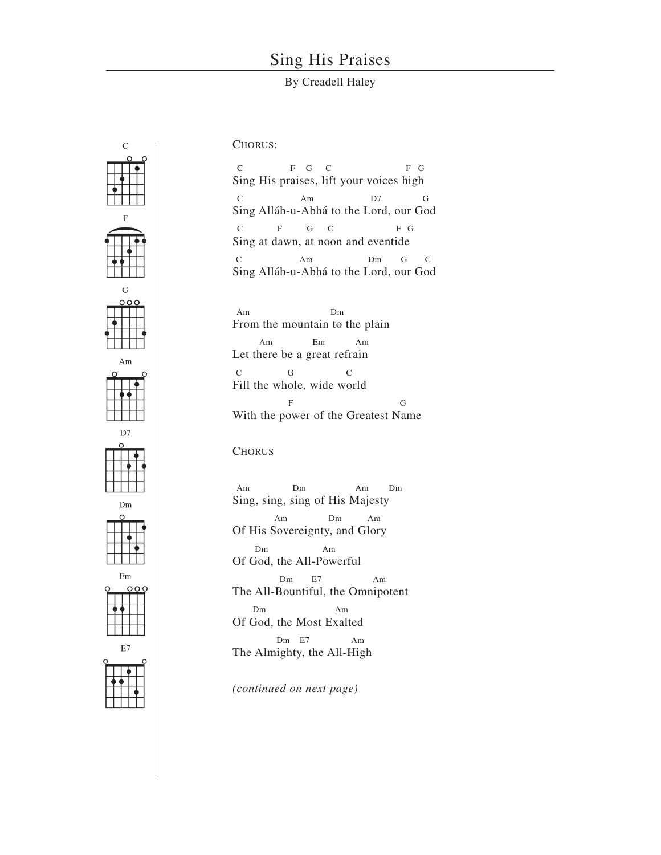## Sing His Praises

## By Creadell Haley



## CHORUS:

C F G C F G Sing His praises, lift your voices high C Am D7 G Sing Alláh-u-Abhá to the Lord, our God C F G C F G Sing at dawn, at noon and eventide C Am Dm G C Sing Alláh-u-Abhá to the Lord, our God

Am Dm From the mountain to the plain Am Em Am Let there be a great refrain C G C Fill the whole, wide world F G With the power of the Greatest Name

## **CHORUS**

Am Dm Am Dm Sing, sing, sing of His Majesty Am Dm Am Of His Sovereignty, and Glory Dm Am Of God, the All-Powerful Dm E7 Am The All-Bountiful, the Omnipotent Dm Am Of God, the Most Exalted Dm E7 Am The Almighty, the All-High

*(continued on next page)*